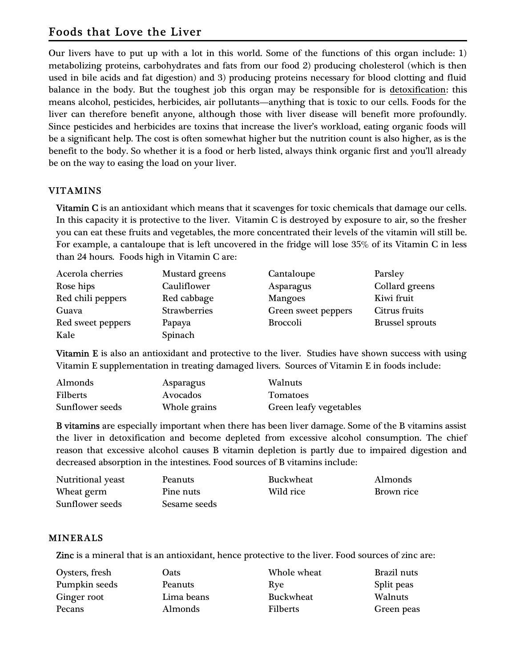# Foods that Love the Liver

Our livers have to put up with a lot in this world. Some of the functions of this organ include: 1) metabolizing proteins, carbohydrates and fats from our food 2) producing cholesterol (which is then used in bile acids and fat digestion) and 3) producing proteins necessary for blood clotting and fluid balance in the body. But the toughest job this organ may be responsible for is detoxification: this means alcohol, pesticides, herbicides, air pollutants—anything that is toxic to our cells. Foods for the liver can therefore benefit anyone, although those with liver disease will benefit more profoundly. Since pesticides and herbicides are toxins that increase the liver's workload, eating organic foods will be a significant help. The cost is often somewhat higher but the nutrition count is also higher, as is the benefit to the body. So whether it is a food or herb listed, always think organic first and you'll already be on the way to easing the load on your liver.

## VITAMINS

Vitamin C is an antioxidant which means that it scavenges for toxic chemicals that damage our cells. In this capacity it is protective to the liver. Vitamin C is destroyed by exposure to air, so the fresher you can eat these fruits and vegetables, the more concentrated their levels of the vitamin will still be. For example, a cantaloupe that is left uncovered in the fridge will lose 35% of its Vitamin C in less than 24 hours. Foods high in Vitamin C are:

| Acerola cherries  | <b>Mustard</b> greens | Cantaloupe          | Parsley                |
|-------------------|-----------------------|---------------------|------------------------|
| Rose hips         | Cauliflower           | Asparagus           | Collard greens         |
| Red chili peppers | Red cabbage           | <b>Mangoes</b>      | Kiwi fruit             |
| Guava             | Strawberries          | Green sweet peppers | Citrus fruits          |
| Red sweet peppers | Papaya                | <b>Broccoli</b>     | <b>Brussel sprouts</b> |
| Kale              | Spinach               |                     |                        |

Vitamin  $E$  is also an antioxidant and protective to the liver. Studies have shown success with using Vitamin E supplementation in treating damaged livers. Sources of Vitamin E in foods include:

| Almonds         | Asparagus    | <b>Walnuts</b>         |
|-----------------|--------------|------------------------|
| <b>Filberts</b> | Avocados     | <b>Tomatoes</b>        |
| Sunflower seeds | Whole grains | Green leafy vegetables |

B vitamins are especially important when there has been liver damage. Some of the B vitamins assist the liver in detoxification and become depleted from excessive alcohol consumption. The chief reason that excessive alcohol causes B vitamin depletion is partly due to impaired digestion and decreased absorption in the intestines. Food sources of B vitamins include:

| <b>Nutritional yeast</b> | Peanuts      | <b>Buckwheat</b> | Almonds    |
|--------------------------|--------------|------------------|------------|
| Wheat germ               | Pine nuts    | Wild rice        | Brown rice |
| Sunflower seeds          | Sesame seeds |                  |            |

#### MINERALS

Zinc is a mineral that is an antioxidant, hence protective to the liver. Food sources of zinc are:

| Oysters, fresh | Oats           | Whole wheat     | Brazil nuts |
|----------------|----------------|-----------------|-------------|
| Pumpkin seeds  | Peanuts        | Rye             | Split peas  |
| Ginger root    | Lima beans     | Buckwheat       | Walnuts     |
| Pecans         | <b>Almonds</b> | <b>Filberts</b> | Green peas  |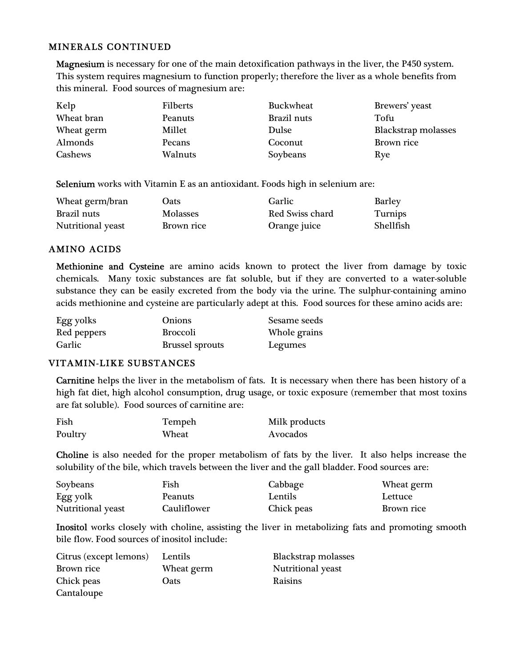#### MINERALS CONTINUED

Magnesium is necessary for one of the main detoxification pathways in the liver, the P450 system. This system requires magnesium to function properly; therefore the liver as a whole benefits from this mineral. Food sources of magnesium are:

| Kelp       | <b>Filberts</b> | <b>Buckwheat</b> | Brewers' yeast      |
|------------|-----------------|------------------|---------------------|
| Wheat bran | Peanuts         | Brazil nuts      | Tofu                |
| Wheat germ | Millet          | Dulse            | Blackstrap molasses |
| Almonds    | Pecans          | Coconut          | Brown rice          |
| Cashews    | Walnuts         | Soybeans         | Rye                 |

Selenium works with Vitamin E as an antioxidant. Foods high in selenium are:

| Wheat germ/bran          | Oats            | Garlic          | Barley           |
|--------------------------|-----------------|-----------------|------------------|
| Brazil nuts              | <b>Molasses</b> | Red Swiss chard | Turnips          |
| <b>Nutritional yeast</b> | Brown rice      | Orange juice    | <b>Shellfish</b> |

## AMINO ACIDS

Methionine and Cysteine are amino acids known to protect the liver from damage by toxic chemicals. Many toxic substances are fat soluble, but if they are converted to a water-soluble substance they can be easily excreted from the body via the urine. The sulphur-containing amino acids methionine and cysteine are particularly adept at this. Food sources for these amino acids are:

| Egg yolks   | <b>Onions</b>          | Sesame seeds |
|-------------|------------------------|--------------|
| Red peppers | <b>Broccoli</b>        | Whole grains |
| Garlic      | <b>Brussel sprouts</b> | Legumes      |

#### VITAMIN-LIKE SUBSTANCES

Carnitine helps the liver in the metabolism of fats. It is necessary when there has been history of a high fat diet, high alcohol consumption, drug usage, or toxic exposure (remember that most toxins are fat soluble). Food sources of carnitine are:

| Fish    | Tempeh | Milk products |
|---------|--------|---------------|
| Poultry | Wheat  | Avocados      |

Choline is also needed for the proper metabolism of fats by the liver. It also helps increase the solubility of the bile, which travels between the liver and the gall bladder. Food sources are:

| Soybeans          | Fish           | Cabbage        | Wheat germ |
|-------------------|----------------|----------------|------------|
| Egg yolk          | <b>Peanuts</b> | <b>Lentils</b> | Lettuce    |
| Nutritional yeast | Cauliflower    | Chick peas     | Brown rice |

Inositol works closely with choline, assisting the liver in metabolizing fats and promoting smooth bile flow. Food sources of inositol include:

| Citrus (except lemons) | Lentils    | Blackstrap molasses |
|------------------------|------------|---------------------|
| Brown rice             | Wheat germ | Nutritional yeast   |
| Chick peas             | Oats       | Raisins             |
| Cantaloupe             |            |                     |